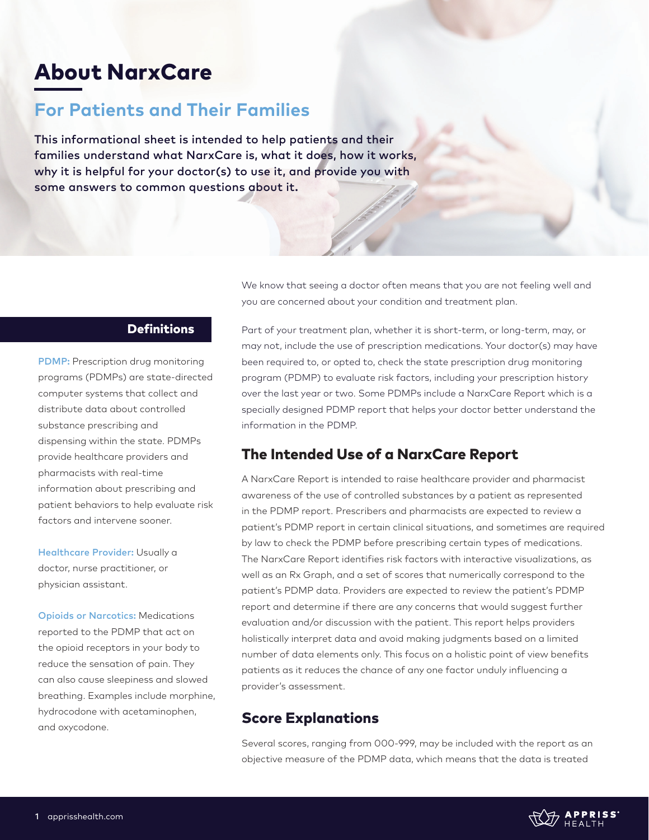# About NarxCare

## **For Patients and Their Families**

This informational sheet is intended to help patients and their families understand what NarxCare is, what it does, how it works, why it is helpful for your doctor(s) to use it, and provide you with some answers to common questions about it.

### **Definitions**

PDMP: Prescription drug monitoring programs (PDMPs) are state-directed computer systems that collect and distribute data about controlled substance prescribing and dispensing within the state. PDMPs provide healthcare providers and pharmacists with real-time information about prescribing and patient behaviors to help evaluate risk factors and intervene sooner.

Healthcare Provider: Usually a doctor, nurse practitioner, or physician assistant.

Opioids or Narcotics: Medications reported to the PDMP that act on the opioid receptors in your body to reduce the sensation of pain. They can also cause sleepiness and slowed breathing. Examples include morphine, hydrocodone with acetaminophen, and oxycodone.

We know that seeing a doctor often means that you are not feeling well and you are concerned about your condition and treatment plan.

Part of your treatment plan, whether it is short-term, or long-term, may, or may not, include the use of prescription medications. Your doctor(s) may have been required to, or opted to, check the state prescription drug monitoring program (PDMP) to evaluate risk factors, including your prescription history over the last year or two. Some PDMPs include a NarxCare Report which is a specially designed PDMP report that helps your doctor better understand the information in the PDMP.

### The Intended Use of a NarxCare Report

A NarxCare Report is intended to raise healthcare provider and pharmacist awareness of the use of controlled substances by a patient as represented in the PDMP report. Prescribers and pharmacists are expected to review a patient's PDMP report in certain clinical situations, and sometimes are required by law to check the PDMP before prescribing certain types of medications. The NarxCare Report identifies risk factors with interactive visualizations, as well as an Rx Graph, and a set of scores that numerically correspond to the patient's PDMP data. Providers are expected to review the patient's PDMP report and determine if there are any concerns that would suggest further evaluation and/or discussion with the patient. This report helps providers holistically interpret data and avoid making judgments based on a limited number of data elements only. This focus on a holistic point of view benefits patients as it reduces the chance of any one factor unduly influencing a provider's assessment.

### Score Explanations

Several scores, ranging from 000-999, may be included with the report as an objective measure of the PDMP data, which means that the data is treated

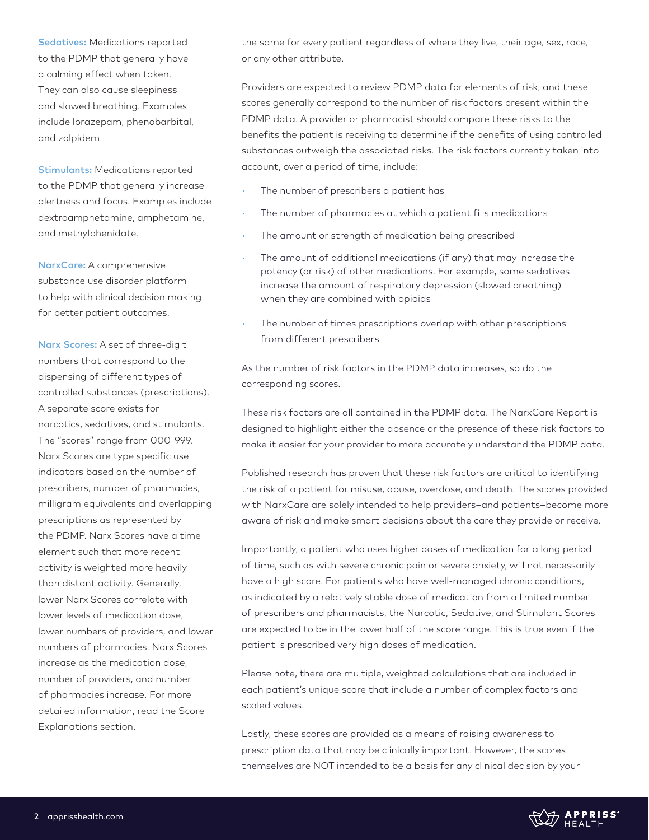Sedatives: Medications reported to the PDMP that generally have a calming effect when taken. They can also cause sleepiness and slowed breathing. Examples include lorazepam, phenobarbital, and zolpidem.

Stimulants: Medications reported to the PDMP that generally increase alertness and focus. Examples include dextroamphetamine, amphetamine, and methylphenidate.

NarxCare: A comprehensive substance use disorder platform to help with clinical decision making for better patient outcomes.

Narx Scores: A set of three-digit numbers that correspond to the dispensing of different types of controlled substances (prescriptions). A separate score exists for narcotics, sedatives, and stimulants. The "scores" range from 000-999. Narx Scores are type specific use indicators based on the number of prescribers, number of pharmacies, milligram equivalents and overlapping prescriptions as represented by the PDMP. Narx Scores have a time element such that more recent activity is weighted more heavily than distant activity. Generally, lower Narx Scores correlate with lower levels of medication dose, lower numbers of providers, and lower numbers of pharmacies. Narx Scores increase as the medication dose, number of providers, and number of pharmacies increase. For more detailed information, read the Score Explanations section.

the same for every patient regardless of where they live, their age, sex, race, or any other attribute.

Providers are expected to review PDMP data for elements of risk, and these scores generally correspond to the number of risk factors present within the PDMP data. A provider or pharmacist should compare these risks to the benefits the patient is receiving to determine if the benefits of using controlled substances outweigh the associated risks. The risk factors currently taken into account, over a period of time, include:

- The number of prescribers a patient has
- The number of pharmacies at which a patient fills medications
- The amount or strength of medication being prescribed
- The amount of additional medications (if any) that may increase the potency (or risk) of other medications. For example, some sedatives increase the amount of respiratory depression (slowed breathing) when they are combined with opioids
- The number of times prescriptions overlap with other prescriptions from different prescribers

As the number of risk factors in the PDMP data increases, so do the corresponding scores.

These risk factors are all contained in the PDMP data. The NarxCare Report is designed to highlight either the absence or the presence of these risk factors to make it easier for your provider to more accurately understand the PDMP data.

Published research has proven that these risk factors are critical to identifying the risk of a patient for misuse, abuse, overdose, and death. The scores provided with NarxCare are solely intended to help providers–and patients–become more aware of risk and make smart decisions about the care they provide or receive.

Importantly, a patient who uses higher doses of medication for a long period of time, such as with severe chronic pain or severe anxiety, will not necessarily have a high score. For patients who have well-managed chronic conditions, as indicated by a relatively stable dose of medication from a limited number of prescribers and pharmacists, the Narcotic, Sedative, and Stimulant Scores are expected to be in the lower half of the score range. This is true even if the patient is prescribed very high doses of medication.

Please note, there are multiple, weighted calculations that are included in each patient's unique score that include a number of complex factors and scaled values.

Lastly, these scores are provided as a means of raising awareness to prescription data that may be clinically important. However, the scores themselves are NOT intended to be a basis for any clinical decision by your